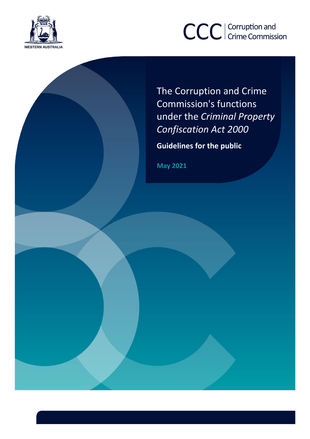



The Corruption and Crime Commission's functions under the *Criminal Property Confiscation Act 2000*

**Guidelines for the public**

**May 2021**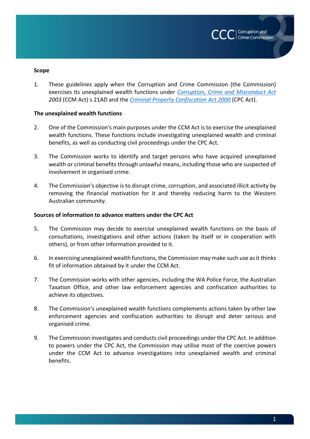

#### **Scope**

1. These guidelines apply when the Corruption and Crime Commission (the Commission) exercises its unexplained wealth functions under *[Corruption, Crime and Misconduct Act](https://www.slp.wa.gov.au/pco/prod/filestore.nsf/FileURL/mrdoc_29640.pdf/$FILE/Corruption%20Crime%20and%20Misconduct%20Act%202003%20-%20%5B06-c0-01%5D.pdf?OpenElement) 2003* (CCM Act) s 21AD and the *[Criminal Property Confiscation Act 2000](https://www.legislation.wa.gov.au/legislation/prod/filestore.nsf/FileURL/mrdoc_25306.pdf/$FILE/Criminal%20Property%20Confiscation%20Act%202000%20-%20%5B03-d0-03%5D.pdf?OpenElement)* (CPC Act).

### **The unexplained wealth functions**

- 2. One of the Commission's main purposes under the CCM Act is to exercise the unexplained wealth functions. These functions include investigating unexplained wealth and criminal benefits, as well as conducting civil proceedings under the CPC Act.
- 3. The Commission works to identify and target persons who have acquired unexplained wealth or criminal benefits through unlawful means, including those who are suspected of involvement in organised crime.
- 4. The Commission's objective is to disrupt crime, corruption, and associated illicit activity by removing the financial motivation for it and thereby reducing harm to the Western Australian community.

#### **Sources of information to advance matters under the CPC Act**

- 5. The Commission may decide to exercise unexplained wealth functions on the basis of consultations, investigations and other actions (taken by itself or in cooperation with others), or from other information provided to it.
- 6. In exercising unexplained wealth functions, the Commission may make such use as it thinks fit of information obtained by it under the CCM Act.
- 7. The Commission works with other agencies, including the WA Police Force, the Australian Taxation Office, and other law enforcement agencies and confiscation authorities to achieve its objectives.
- 8. The Commission's unexplained wealth functions complements actions taken by other law enforcement agencies and confiscation authorities to disrupt and deter serious and organised crime.
- 9. The Commission investigates and conducts civil proceedings under the CPC Act. In addition to powers under the CPC Act, the Commission may utilise most of the coercive powers under the CCM Act to advance investigations into unexplained wealth and criminal benefits.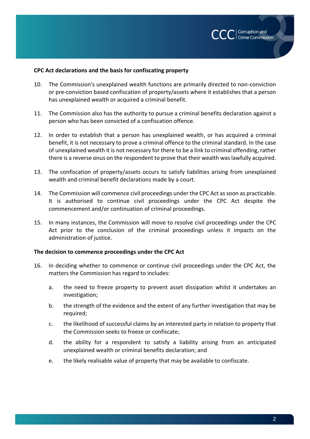

### **CPC Act declarations and the basis for confiscating property**

- 10. The Commission's unexplained wealth functions are primarily directed to non-conviction or pre-conviction based confiscation of property/assets where it establishes that a person has unexplained wealth or acquired a criminal benefit.
- 11. The Commission also has the authority to pursue a criminal benefits declaration against a person who has been convicted of a confiscation offence.
- 12. In order to establish that a person has unexplained wealth, or has acquired a criminal benefit, it is not necessary to prove a criminal offence to the criminal standard. In the case of unexplained wealth it is not necessary for there to be a link to criminal offending, rather there is a reverse onus on the respondent to prove that their wealth was lawfully acquired.
- 13. The confiscation of property/assets occurs to satisfy liabilities arising from unexplained wealth and criminal benefit declarations made by a court.
- 14. The Commission will commence civil proceedings under the CPC Act as soon as practicable. It is authorised to continue civil proceedings under the CPC Act despite the commencement and/or continuation of criminal proceedings.
- 15. In many instances, the Commission will move to resolve civil proceedings under the CPC Act prior to the conclusion of the criminal proceedings unless it impacts on the administration of justice.

### **The decision to commence proceedings under the CPC Act**

- 16. In deciding whether to commence or continue civil proceedings under the CPC Act, the matters the Commission has regard to includes:
	- a. the need to freeze property to prevent asset dissipation whilst it undertakes an investigation;
	- b. the strength of the evidence and the extent of any further investigation that may be required;
	- c. the likelihood of successful claims by an interested party in relation to property that the Commission seeks to freeze or confiscate;
	- d. the ability for a respondent to satisfy a liability arising from an anticipated unexplained wealth or criminal benefits declaration; and
	- e. the likely realisable value of property that may be available to confiscate.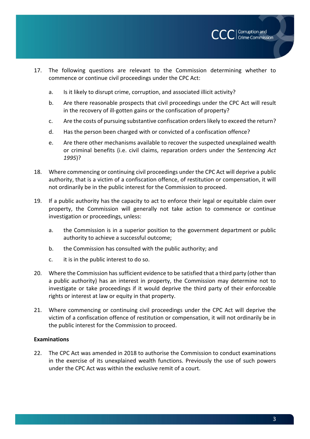

- 17. The following questions are relevant to the Commission determining whether to commence or continue civil proceedings under the CPC Act:
	- a. Is it likely to disrupt crime, corruption, and associated illicit activity?
	- b. Are there reasonable prospects that civil proceedings under the CPC Act will result in the recovery of ill-gotten gains or the confiscation of property?
	- c. Are the costs of pursuing substantive confiscation orders likely to exceed the return?
	- d. Has the person been charged with or convicted of a confiscation offence?
	- e. Are there other mechanisms available to recover the suspected unexplained wealth or criminal benefits (i.e. civil claims, reparation orders under the S*entencing Act 1995*)?
- 18. Where commencing or continuing civil proceedings under the CPC Act will deprive a public authority, that is a victim of a confiscation offence, of restitution or compensation, it will not ordinarily be in the public interest for the Commission to proceed.
- 19. If a public authority has the capacity to act to enforce their legal or equitable claim over property, the Commission will generally not take action to commence or continue investigation or proceedings, unless:
	- a. the Commission is in a superior position to the government department or public authority to achieve a successful outcome;
	- b. the Commission has consulted with the public authority; and
	- c. it is in the public interest to do so.
- 20. Where the Commission has sufficient evidence to be satisfied that a third party (other than a public authority) has an interest in property, the Commission may determine not to investigate or take proceedings if it would deprive the third party of their enforceable rights or interest at law or equity in that property.
- 21. Where commencing or continuing civil proceedings under the CPC Act will deprive the victim of a confiscation offence of restitution or compensation, it will not ordinarily be in the public interest for the Commission to proceed.

# **Examinations**

22. The CPC Act was amended in 2018 to authorise the Commission to conduct examinations in the exercise of its unexplained wealth functions. Previously the use of such powers under the CPC Act was within the exclusive remit of a court.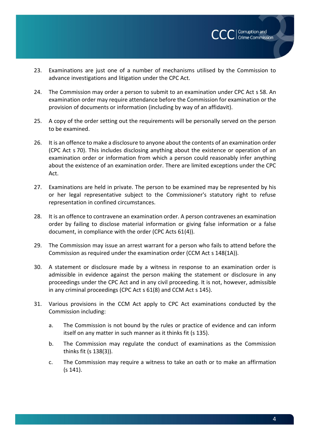- 23. Examinations are just one of a number of mechanisms utilised by the Commission to advance investigations and litigation under the CPC Act.
- 24. The Commission may order a person to submit to an examination under CPC Act s 58. An examination order may require attendance before the Commission for examination or the provision of documents or information (including by way of an affidavit).
- 25. A copy of the order setting out the requirements will be personally served on the person to be examined.
- 26. It is an offence to make a disclosure to anyone about the contents of an examination order (CPC Act s 70). This includes disclosing anything about the existence or operation of an examination order or information from which a person could reasonably infer anything about the existence of an examination order. There are limited exceptions under the CPC Act.
- 27. Examinations are held in private. The person to be examined may be represented by his or her legal representative subject to the Commissioner's statutory right to refuse representation in confined circumstances.
- 28. It is an offence to contravene an examination order. A person contravenes an examination order by failing to disclose material information or giving false information or a false document, in compliance with the order (CPC Acts 61(4)).
- 29. The Commission may issue an arrest warrant for a person who fails to attend before the Commission as required under the examination order (CCM Act s 148(1A)).
- 30. A statement or disclosure made by a witness in response to an examination order is admissible in evidence against the person making the statement or disclosure in any proceedings under the CPC Act and in any civil proceeding. It is not, however, admissible in any criminal proceedings (CPC Act s 61(8) and CCM Act s 145).
- 31. Various provisions in the CCM Act apply to CPC Act examinations conducted by the Commission including:
	- a. The Commission is not bound by the rules or practice of evidence and can inform itself on any matter in such manner as it thinks fit (s 135).
	- b. The Commission may regulate the conduct of examinations as the Commission thinks fit (s 138(3)).
	- c. The Commission may require a witness to take an oath or to make an affirmation (s 141).

| Corruption and **Crime Commission**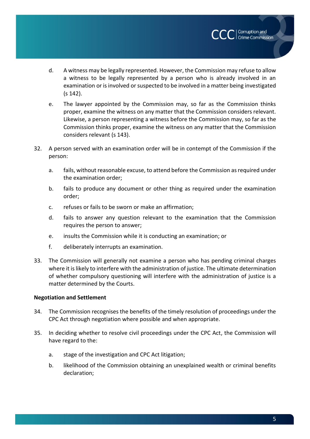d. A witness may be legally represented. However, the Commission may refuse to allow a witness to be legally represented by a person who is already involved in an examination or is involved or suspected to be involved in a matter being investigated (s 142).

Corruption and **Crime Commission** 

- e. The lawyer appointed by the Commission may, so far as the Commission thinks proper, examine the witness on any matter that the Commission considers relevant. Likewise, a person representing a witness before the Commission may, so far as the Commission thinks proper, examine the witness on any matter that the Commission considers relevant (s 143).
- 32. A person served with an examination order will be in contempt of the Commission if the person:
	- a. fails, without reasonable excuse, to attend before the Commission as required under the examination order;
	- b. fails to produce any document or other thing as required under the examination order;
	- c. refuses or fails to be sworn or make an affirmation;
	- d. fails to answer any question relevant to the examination that the Commission requires the person to answer;
	- e. insults the Commission while it is conducting an examination; or
	- f. deliberately interrupts an examination.
- 33. The Commission will generally not examine a person who has pending criminal charges where it is likely to interfere with the administration of justice. The ultimate determination of whether compulsory questioning will interfere with the administration of justice is a matter determined by the Courts.

# **Negotiation and Settlement**

- 34. The Commission recognises the benefits of the timely resolution of proceedings under the CPC Act through negotiation where possible and when appropriate.
- 35. In deciding whether to resolve civil proceedings under the CPC Act, the Commission will have regard to the:
	- a. stage of the investigation and CPC Act litigation;
	- b. likelihood of the Commission obtaining an unexplained wealth or criminal benefits declaration;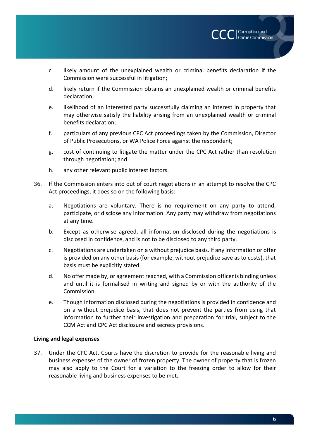

- c. likely amount of the unexplained wealth or criminal benefits declaration if the Commission were successful in litigation;
- d. likely return if the Commission obtains an unexplained wealth or criminal benefits declaration;
- e. likelihood of an interested party successfully claiming an interest in property that may otherwise satisfy the liability arising from an unexplained wealth or criminal benefits declaration;
- f. particulars of any previous CPC Act proceedings taken by the Commission, Director of Public Prosecutions, or WA Police Force against the respondent;
- g. cost of continuing to litigate the matter under the CPC Act rather than resolution through negotiation; and
- h. any other relevant public interest factors.
- 36. If the Commission enters into out of court negotiations in an attempt to resolve the CPC Act proceedings, it does so on the following basis:
	- a. Negotiations are voluntary. There is no requirement on any party to attend, participate, or disclose any information. Any party may withdraw from negotiations at any time.
	- b. Except as otherwise agreed, all information disclosed during the negotiations is disclosed in confidence, and is not to be disclosed to any third party.
	- c. Negotiations are undertaken on a without prejudice basis. If any information or offer is provided on any other basis (for example, without prejudice save as to costs), that basis must be explicitly stated.
	- d. No offer made by, or agreement reached, with a Commission officer is binding unless and until it is formalised in writing and signed by or with the authority of the Commission.
	- e. Though information disclosed during the negotiations is provided in confidence and on a without prejudice basis, that does not prevent the parties from using that information to further their investigation and preparation for trial, subject to the CCM Act and CPC Act disclosure and secrecy provisions.

### **Living and legal expenses**

37. Under the CPC Act, Courts have the discretion to provide for the reasonable living and business expenses of the owner of frozen property. The owner of property that is frozen may also apply to the Court for a variation to the freezing order to allow for their reasonable living and business expenses to be met.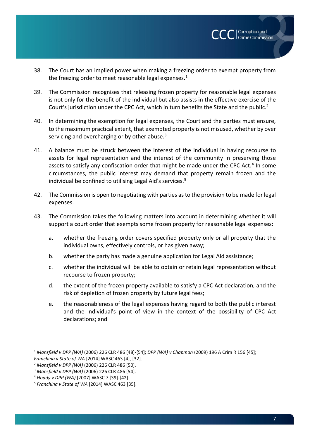

- 38. The Court has an implied power when making a freezing order to exempt property from the freezing order to meet reasonable legal expenses. $1$
- 39. The Commission recognises that releasing frozen property for reasonable legal expenses is not only for the benefit of the individual but also assists in the effective exercise of the Court's jurisdiction under the CPC Act, which in turn benefits the State and the public.<sup>2</sup>
- 40. In determining the exemption for legal expenses, the Court and the parties must ensure, to the maximum practical extent, that exempted property is not misused, whether by over servicing and overcharging or by other abuse.<sup>3</sup>
- 41. A balance must be struck between the interest of the individual in having recourse to assets for legal representation and the interest of the community in preserving those assets to satisfy any confiscation order that might be made under the CPC Act.<sup>4</sup> In some circumstances, the public interest may demand that property remain frozen and the individual be confined to utilising Legal Aid's services.<sup>5</sup>
- 42. The Commission is open to negotiating with parties as to the provision to be made for legal expenses.
- 43. The Commission takes the following matters into account in determining whether it will support a court order that exempts some frozen property for reasonable legal expenses:
	- a. whether the freezing order covers specified property only or all property that the individual owns, effectively controls, or has given away;
	- b. whether the party has made a genuine application for Legal Aid assistance;
	- c. whether the individual will be able to obtain or retain legal representation without recourse to frozen property;
	- d. the extent of the frozen property available to satisfy a CPC Act declaration, and the risk of depletion of frozen property by future legal fees;
	- e. the reasonableness of the legal expenses having regard to both the public interest and the individual's point of view in the context of the possibility of CPC Act declarations; and

 $\overline{a}$ 

<sup>1</sup> *Mansfield v DPP (WA)* (2006) 226 CLR 486 [48]-[54]; *DPP (WA) v Chapman* (2009) 196 A Crim R 156 [45]; *Franchina v State of WA* [2014] WASC 463 [4], [32].

<sup>2</sup> *Mansfield v DPP (WA)* (2006) 226 CLR 486 [50].

<sup>3</sup> *Mansfield v DPP (WA)* (2006) 226 CLR 486 [54].

<sup>4</sup> *Hoddy v DPP (WA)* [2007] WASC 7 [39]-[42].

<sup>5</sup> *Franchina v State of WA* [2014] WASC 463 [35].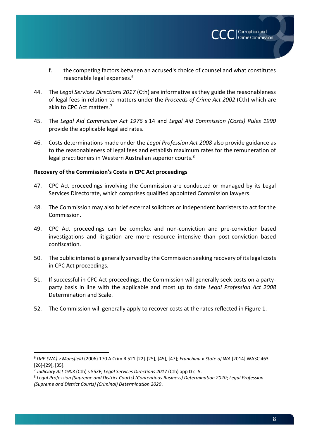f. the competing factors between an accused's choice of counsel and what constitutes reasonable legal expenses.<sup>6</sup>

Corruption and **Crime Commission** 

- 44. The *Legal Services Directions 2017* (Cth) are informative as they guide the reasonableness of legal fees in relation to matters under the *Proceeds of Crime Act 2002* (Cth) which are akin to CPC Act matters.<sup>7</sup>
- 45. The *Legal Aid Commission Act 1976* s 14 and *Legal Aid Commission (Costs) Rules 1990* provide the applicable legal aid rates.
- 46. Costs determinations made under the *Legal Profession Act 2008* also provide guidance as to the reasonableness of legal fees and establish maximum rates for the remuneration of legal practitioners in Western Australian superior courts.<sup>8</sup>

### **Recovery of the Commission's Costs in CPC Act proceedings**

- 47. CPC Act proceedings involving the Commission are conducted or managed by its Legal Services Directorate, which comprises qualified appointed Commission lawyers.
- 48. The Commission may also brief external solicitors or independent barristers to act for the Commission.
- 49. CPC Act proceedings can be complex and non-conviction and pre-conviction based investigations and litigation are more resource intensive than post-conviction based confiscation.
- 50. The public interest is generally served by the Commission seeking recovery of its legal costs in CPC Act proceedings.
- 51. If successful in CPC Act proceedings, the Commission will generally seek costs on a partyparty basis in line with the applicable and most up to date *Legal Profession Act 2008* Determination and Scale.
- 52. The Commission will generally apply to recover costs at the rates reflected in Figure 1.

 $\overline{a}$ 

<sup>6</sup> *DPP (WA) v Mansfield* (2006) 170 A Crim R 521 [22]-[25], [45], [47]; *Franchina v State of WA* [2014] WASC 463 [26]-[29], [35].

<sup>7</sup> *Judiciary Act 1903* (Cth) s 55ZF; *Legal Services Directions 2017* (Cth) app D cl 5.

<sup>8</sup> *Legal Profession (Supreme and District Courts) (Contentious Business) Determination 2020*; *Legal Profession (Supreme and District Courts) (Criminal) Determination 2020*.